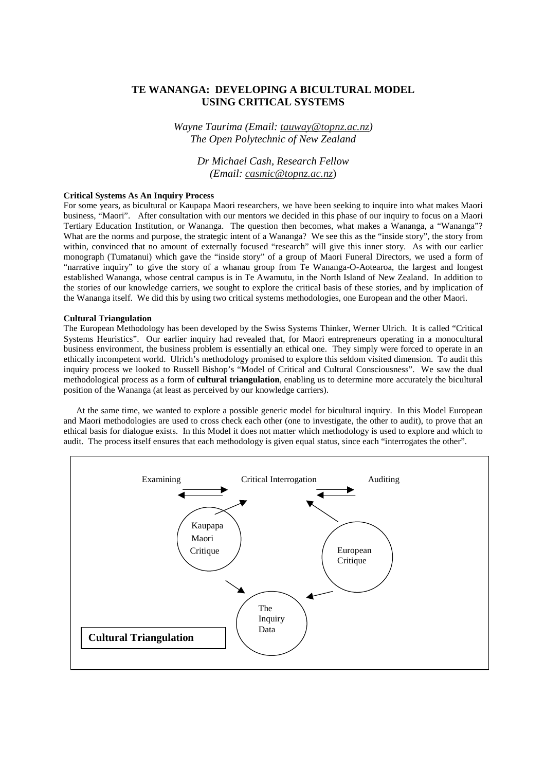# **TE WANANGA: DEVELOPING A BICULTURAL MODEL USING CRITICAL SYSTEMS**

*Wayne Taurima (Email: tauway@topnz.ac.nz) The Open Polytechnic of New Zealand*

> *Dr Michael Cash, Research Fellow (Email: casmic@topnz.ac.nz*)

# **Critical Systems As An Inquiry Process**

For some years, as bicultural or Kaupapa Maori researchers, we have been seeking to inquire into what makes Maori business, "Maori". After consultation with our mentors we decided in this phase of our inquiry to focus on a Maori Tertiary Education Institution, or Wananga. The question then becomes, what makes a Wananga, a "Wananga"? What are the norms and purpose, the strategic intent of a Wananga? We see this as the "inside story", the story from within, convinced that no amount of externally focused "research" will give this inner story. As with our earlier monograph (Tumatanui) which gave the "inside story" of a group of Maori Funeral Directors, we used a form of "narrative inquiry" to give the story of a whanau group from Te Wananga-O-Aotearoa, the largest and longest established Wananga, whose central campus is in Te Awamutu, in the North Island of New Zealand. In addition to the stories of our knowledge carriers, we sought to explore the critical basis of these stories, and by implication of the Wananga itself. We did this by using two critical systems methodologies, one European and the other Maori.

# **Cultural Triangulation**

The European Methodology has been developed by the Swiss Systems Thinker, Werner Ulrich. It is called "Critical Systems Heuristics". Our earlier inquiry had revealed that, for Maori entrepreneurs operating in a monocultural business environment, the business problem is essentially an ethical one. They simply were forced to operate in an ethically incompetent world. Ulrich's methodology promised to explore this seldom visited dimension. To audit this inquiry process we looked to Russell Bishop's "Model of Critical and Cultural Consciousness". We saw the dual methodological process as a form of **cultural triangulation**, enabling us to determine more accurately the bicultural position of the Wananga (at least as perceived by our knowledge carriers).

At the same time, we wanted to explore a possible generic model for bicultural inquiry. In this Model European and Maori methodologies are used to cross check each other (one to investigate, the other to audit), to prove that an ethical basis for dialogue exists. In this Model it does not matter which methodology is used to explore and which to audit. The process itself ensures that each methodology is given equal status, since each "interrogates the other".

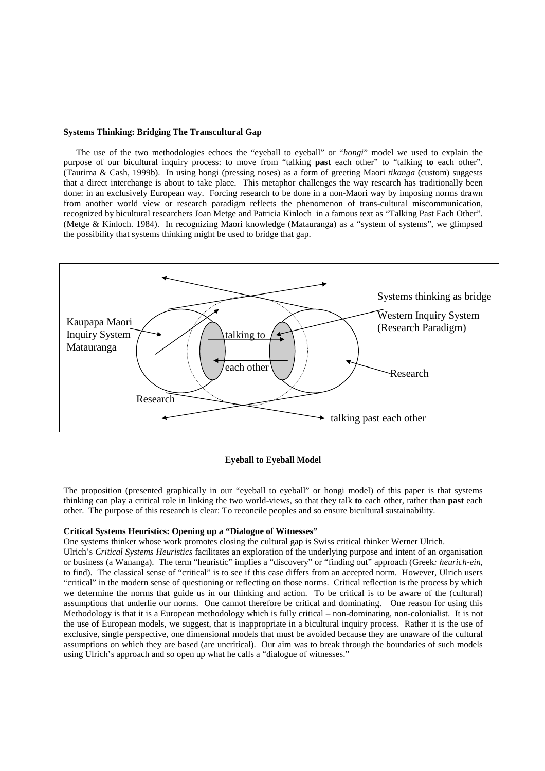### **Systems Thinking: Bridging The Transcultural Gap**

The use of the two methodologies echoes the "eyeball to eyeball" or "*hongi*" model we used to explain the purpose of our bicultural inquiry process: to move from "talking **past** each other" to "talking **to** each other". (Taurima & Cash, 1999b). In using hongi (pressing noses) as a form of greeting Maori *tikanga* (custom) suggests that a direct interchange is about to take place. This metaphor challenges the way research has traditionally been done: in an exclusively European way. Forcing research to be done in a non-Maori way by imposing norms drawn from another world view or research paradigm reflects the phenomenon of trans-cultural miscommunication, recognized by bicultural researchers Joan Metge and Patricia Kinloch in a famous text as "Talking Past Each Other". (Metge & Kinloch. 1984). In recognizing Maori knowledge (Matauranga) as a "system of systems", we glimpsed the possibility that systems thinking might be used to bridge that gap.



# **Eyeball to Eyeball Model**

The proposition (presented graphically in our "eyeball to eyeball" or hongi model) of this paper is that systems thinking can play a critical role in linking the two world-views, so that they talk **to** each other, rather than **past** each other. The purpose of this research is clear: To reconcile peoples and so ensure bicultural sustainability.

### **Critical Systems Heuristics: Opening up a "Dialogue of Witnesses"**

One systems thinker whose work promotes closing the cultural gap is Swiss critical thinker Werner Ulrich. Ulrich's *Critical Systems Heuristics* facilitates an exploration of the underlying purpose and intent of an organisation or business (a Wananga). The term "heuristic" implies a "discovery" or "finding out" approach (Greek*: heurich-ein,* to find). The classical sense of "critical" is to see if this case differs from an accepted norm. However, Ulrich users "critical" in the modern sense of questioning or reflecting on those norms. Critical reflection is the process by which we determine the norms that guide us in our thinking and action. To be critical is to be aware of the (cultural) assumptions that underlie our norms. One cannot therefore be critical and dominating. One reason for using this Methodology is that it is a European methodology which is fully critical – non-dominating, non-colonialist. It is not the use of European models, we suggest, that is inappropriate in a bicultural inquiry process. Rather it is the use of exclusive, single perspective, one dimensional models that must be avoided because they are unaware of the cultural assumptions on which they are based (are uncritical). Our aim was to break through the boundaries of such models using Ulrich's approach and so open up what he calls a "dialogue of witnesses."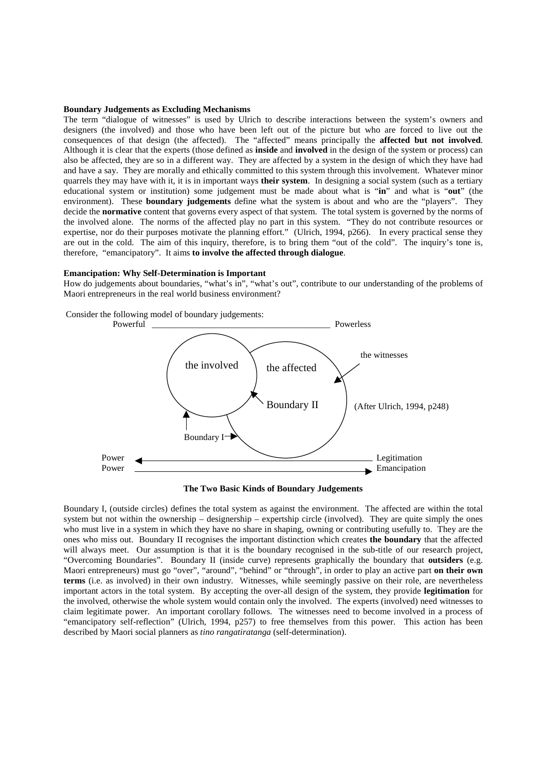#### **Boundary Judgements as Excluding Mechanisms**

The term "dialogue of witnesses" is used by Ulrich to describe interactions between the system's owners and designers (the involved) and those who have been left out of the picture but who are forced to live out the consequences of that design (the affected). The "affected" means principally the **affected but not involved**. Although it is clear that the experts (those defined as **inside** and **involved** in the design of the system or process) can also be affected, they are so in a different way. They are affected by a system in the design of which they have had and have a say. They are morally and ethically committed to this system through this involvement. Whatever minor quarrels they may have with it, it is in important ways **their system**. In designing a social system (such as a tertiary educational system or institution) some judgement must be made about what is "**in**" and what is "**out**" (the environment). These **boundary judgements** define what the system is about and who are the "players". They decide the **normative** content that governs every aspect of that system. The total system is governed by the norms of the involved alone. The norms of the affected play no part in this system. "They do not contribute resources or expertise, nor do their purposes motivate the planning effort." (Ulrich, 1994, p266). In every practical sense they are out in the cold. The aim of this inquiry, therefore, is to bring them "out of the cold". The inquiry's tone is, therefore, "emancipatory". It aims **to involve the affected through dialogue**.

# **Emancipation: Why Self-Determination is Important**

How do judgements about boundaries, "what's in", "what's out", contribute to our understanding of the problems of Maori entrepreneurs in the real world business environment?



**The Two Basic Kinds of Boundary Judgements**

Boundary I, (outside circles) defines the total system as against the environment. The affected are within the total system but not within the ownership – designership – expertship circle (involved). They are quite simply the ones who must live in a system in which they have no share in shaping, owning or contributing usefully to. They are the ones who miss out. Boundary II recognises the important distinction which creates **the boundary** that the affected will always meet. Our assumption is that it is the boundary recognised in the sub-title of our research project, "Overcoming Boundaries". Boundary II (inside curve) represents graphically the boundary that **outsiders** (e.g. Maori entrepreneurs) must go "over", "around", "behind" or "through", in order to play an active part **on their own terms** (i.e. as involved) in their own industry. Witnesses, while seemingly passive on their role, are nevertheless important actors in the total system. By accepting the over-all design of the system, they provide **legitimation** for the involved, otherwise the whole system would contain only the involved. The experts (involved) need witnesses to claim legitimate power. An important corollary follows. The witnesses need to become involved in a process of "emancipatory self-reflection" (Ulrich, 1994, p257) to free themselves from this power. This action has been described by Maori social planners as *tino rangatiratanga* (self-determination).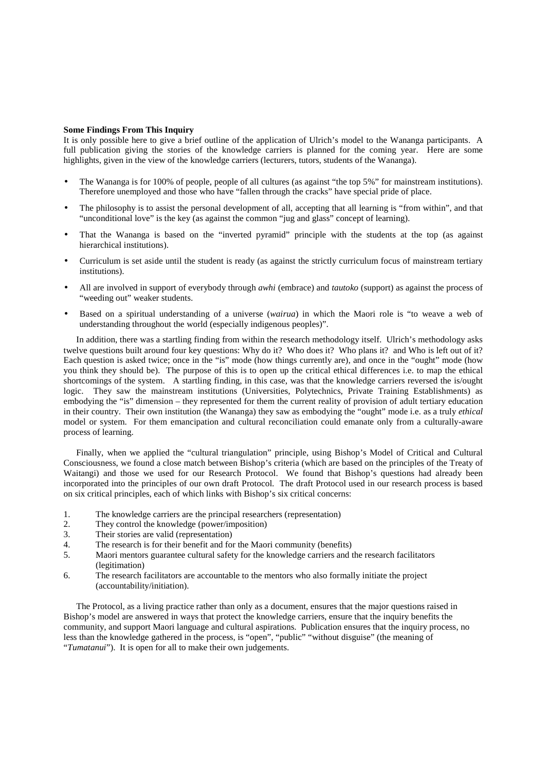# **Some Findings From This Inquiry**

It is only possible here to give a brief outline of the application of Ulrich's model to the Wananga participants. A full publication giving the stories of the knowledge carriers is planned for the coming year. Here are some highlights, given in the view of the knowledge carriers (lecturers, tutors, students of the Wananga).

- The Wananga is for 100% of people, people of all cultures (as against "the top 5%" for mainstream institutions). Therefore unemployed and those who have "fallen through the cracks" have special pride of place.
- The philosophy is to assist the personal development of all, accepting that all learning is "from within", and that "unconditional love" is the key (as against the common "jug and glass" concept of learning).
- That the Wananga is based on the "inverted pyramid" principle with the students at the top (as against hierarchical institutions).
- Curriculum is set aside until the student is ready (as against the strictly curriculum focus of mainstream tertiary institutions).
- All are involved in support of everybody through *awhi* (embrace) and *tautoko* (support) as against the process of "weeding out" weaker students.
- Based on a spiritual understanding of a universe (*wairua*) in which the Maori role is "to weave a web of understanding throughout the world (especially indigenous peoples)".

In addition, there was a startling finding from within the research methodology itself. Ulrich's methodology asks twelve questions built around four key questions: Why do it? Who does it? Who plans it? and Who is left out of it? Each question is asked twice; once in the "is" mode (how things currently are), and once in the "ought" mode (how you think they should be). The purpose of this is to open up the critical ethical differences i.e. to map the ethical shortcomings of the system. A startling finding, in this case, was that the knowledge carriers reversed the is/ought logic. They saw the mainstream institutions (Universities, Polytechnics, Private Training Establishments) as embodying the "is" dimension – they represented for them the current reality of provision of adult tertiary education in their country. Their own institution (the Wananga) they saw as embodying the "ought" mode i.e. as a truly *ethical* model or system. For them emancipation and cultural reconciliation could emanate only from a culturally-aware process of learning.

Finally, when we applied the "cultural triangulation" principle, using Bishop's Model of Critical and Cultural Consciousness, we found a close match between Bishop's criteria (which are based on the principles of the Treaty of Waitangi) and those we used for our Research Protocol. We found that Bishop's questions had already been incorporated into the principles of our own draft Protocol. The draft Protocol used in our research process is based on six critical principles, each of which links with Bishop's six critical concerns:

- 1. The knowledge carriers are the principal researchers (representation)
- 2. They control the knowledge (power/imposition)
- 3. Their stories are valid (representation)
- 4. The research is for their benefit and for the Maori community (benefits)
- 5. Maori mentors guarantee cultural safety for the knowledge carriers and the research facilitators (legitimation)
- 6. The research facilitators are accountable to the mentors who also formally initiate the project (accountability/initiation).

The Protocol, as a living practice rather than only as a document, ensures that the major questions raised in Bishop's model are answered in ways that protect the knowledge carriers, ensure that the inquiry benefits the community, and support Maori language and cultural aspirations. Publication ensures that the inquiry process, no less than the knowledge gathered in the process, is "open", "public" "without disguise" (the meaning of "*Tumatanui*"). It is open for all to make their own judgements.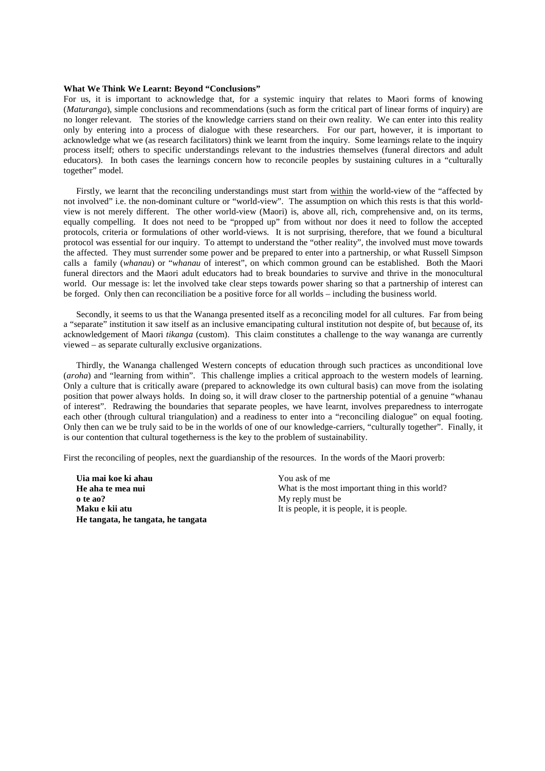# **What We Think We Learnt: Beyond "Conclusions"**

For us, it is important to acknowledge that, for a systemic inquiry that relates to Maori forms of knowing (*Maturanga*), simple conclusions and recommendations (such as form the critical part of linear forms of inquiry) are no longer relevant. The stories of the knowledge carriers stand on their own reality. We can enter into this reality only by entering into a process of dialogue with these researchers. For our part, however, it is important to acknowledge what we (as research facilitators) think we learnt from the inquiry. Some learnings relate to the inquiry process itself; others to specific understandings relevant to the industries themselves (funeral directors and adult educators). In both cases the learnings concern how to reconcile peoples by sustaining cultures in a "culturally together" model.

Firstly, we learnt that the reconciling understandings must start from within the world-view of the "affected by not involved" i.e. the non-dominant culture or "world-view". The assumption on which this rests is that this worldview is not merely different. The other world-view (Maori) is, above all, rich, comprehensive and, on its terms, equally compelling. It does not need to be "propped up" from without nor does it need to follow the accepted protocols, criteria or formulations of other world-views. It is not surprising, therefore, that we found a bicultural protocol was essential for our inquiry. To attempt to understand the "other reality", the involved must move towards the affected. They must surrender some power and be prepared to enter into a partnership, or what Russell Simpson calls a family (*whanau*) or "*whanau* of interest", on which common ground can be established. Both the Maori funeral directors and the Maori adult educators had to break boundaries to survive and thrive in the monocultural world. Our message is: let the involved take clear steps towards power sharing so that a partnership of interest can be forged. Only then can reconciliation be a positive force for all worlds – including the business world.

Secondly, it seems to us that the Wananga presented itself as a reconciling model for all cultures. Far from being a "separate" institution it saw itself as an inclusive emancipating cultural institution not despite of, but because of, its acknowledgement of Maori *tikanga* (custom). This claim constitutes a challenge to the way wananga are currently viewed – as separate culturally exclusive organizations.

Thirdly, the Wananga challenged Western concepts of education through such practices as unconditional love (*aroha*) and "learning from within". This challenge implies a critical approach to the western models of learning. Only a culture that is critically aware (prepared to acknowledge its own cultural basis) can move from the isolating position that power always holds. In doing so, it will draw closer to the partnership potential of a genuine "whanau of interest". Redrawing the boundaries that separate peoples, we have learnt, involves preparedness to interrogate each other (through cultural triangulation) and a readiness to enter into a "reconciling dialogue" on equal footing. Only then can we be truly said to be in the worlds of one of our knowledge-carriers, "culturally together". Finally, it is our contention that cultural togetherness is the key to the problem of sustainability.

First the reconciling of peoples, next the guardianship of the resources. In the words of the Maori proverb:

**Uia mai koe ki ahau He aha te mea nui o te ao? Maku e kii atu He tangata, he tangata, he tangata** You ask of me What is the most important thing in this world? My reply must be It is people, it is people, it is people.